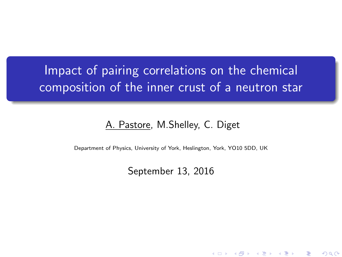# <span id="page-0-0"></span>Impact of pairing correlations on the chemical composition of the inner crust of a neutron star

#### A. Pastore, M.Shelley, C. Diget

Department of Physics, University of York, Heslington, York, YO10 5DD, UK

September 13, 2016

K ロ K K d K K K X X R X X R X R R

 $2Q$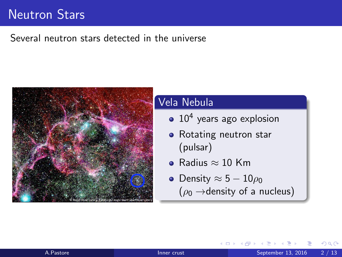# <span id="page-1-0"></span>Neutron Stars

### Several neutron stars detected in the universe



#### Vela Nebula

- 10<sup>4</sup> years ago explosion
- Rotating neutron star (pulsar)
- $\bullet$  Radius  $\approx$  10 Km
- Density  $\approx 5-10\rho_0$  $(\rho_0 \rightarrow$ density of a nucleus)

つひひ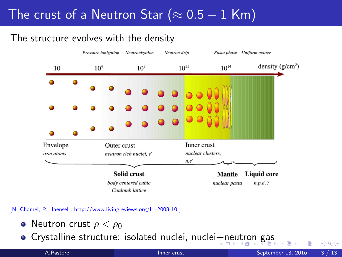# <span id="page-2-0"></span>The crust of a Neutron Star ( $\approx 0.5-1$  Km)

### The structure evolves with the density



[N. Chamel, P. Haensel , http://www.livingreviews.org/lrr-2008-10 ]

- **•** Neutron crust  $\rho < \rho_0$
- Crystalline structure: isolated nuclei, nuclei[+n](#page-1-0)[eu](#page-3-0)[t](#page-1-0)[ro](#page-2-0)[n](#page-3-0) [ga](#page-0-0)[s](#page-9-0)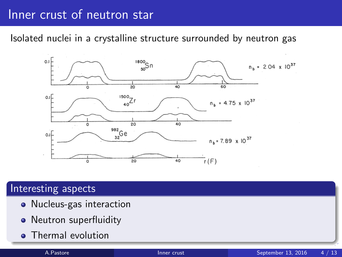## <span id="page-3-0"></span>Inner crust of neutron star

Isolated nuclei in a crystalline structure surrounded by neutron gas



### Interesting aspects

- Nucleus-gas interaction
- Neutron superfluidity
- Thermal evolution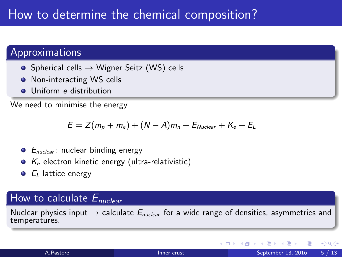# How to determine the chemical composition?

### Approximations

- $\bullet$  Spherical cells  $\rightarrow$  Wigner Seitz (WS) cells
- **O** Non-interacting WS cells
- **O** Uniform *e* distribution

We need to minimise the energy

$$
E = Z(m_p + m_e) + (N - A)m_n + E_{Nuclear} + K_e + E_L
$$

- $\bullet$   $E_{nuclear}$ : nuclear binding energy
- $\bullet$   $K_e$  electron kinetic energy (ultra-relativistic)
- $\bullet$   $E_L$  lattice energy

### How to calculate  $E_{nuclear}$

Nuclear physics input  $\rightarrow$  calculate  $E_{nuclear}$  for a wide range of densities, asymmetries and temperatures.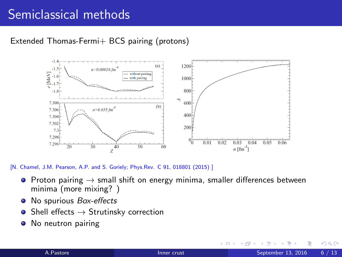# Semiclassical methods

#### Extended Thomas-Fermi+ BCS pairing (protons)



[N. Chamel, J.M. Pearson, A.P. and S. Goriely; Phys.Rev. C 91, 018801 (2015) ]

- Proton pairing  $\rightarrow$  small shift on energy minima, smaller differences between minima (more mixing? )
- No spurious Box-effects  $\bullet$
- $\bullet$  Shell effects  $\rightarrow$  Strutinsky correction
- No neutron pairing  $\bullet$

4 0 8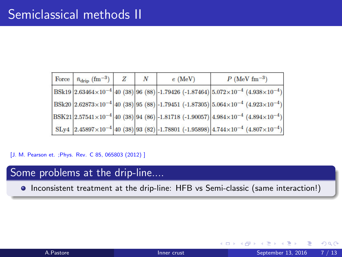| Force $\bar{n}_{\rm drip}$ (fm <sup>-3</sup> ) | N | $e$ (MeV) | $P$ (MeV fm <sup>-3</sup> )                                                                                                                |
|------------------------------------------------|---|-----------|--------------------------------------------------------------------------------------------------------------------------------------------|
|                                                |   |           | BSk19 $\left 2.63464\times10^{-4}\right $ 40 (38) 96 (88) -1.79426 (-1.87464) $5.072\times10^{-4}$ (4.938 $\times10^{-4}$ )                |
|                                                |   |           | $ BSk20 2.62873\times10^{-4} 40(38) 95(88) -1.79451(-1.87305) 5.064\times10^{-4}(4.923\times10^{-4}) $                                     |
|                                                |   |           | $ {\rm BSK21} 2.57541\times10^{-4} 40\rangle(38) 94\rangle(86) -1.81718\rangle(-1.90057) 4.984\times10^{-4}\rangle(4.894\times10^{-4}) $   |
|                                                |   |           | $\left  \text{ SLy4 } 2.45897 \times 10^{-4} \right $ 40 (38) 93 (82) -1.78801 (-1.95898) 4.744×10 <sup>-4</sup> (4.807×10 <sup>-4</sup> ) |

[J. M. Pearson et. ; Phys. Rev. C 85, 065803 (2012) ]

### Some problems at the drip-line....

Inconsistent treatment at the drip-line: HFB vs Semi-classic (same interaction!)

 $\leftarrow$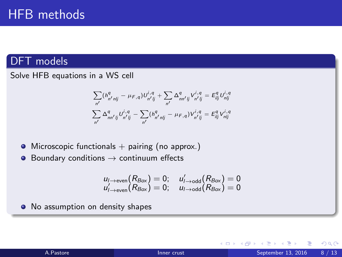### DFT models

Solve HFB equations in a WS cell

$$
\sum_{n'} (h_{n'njj}^{q} - \mu_{F,q}) U_{n'jj}^{i,q} + \sum_{n'} \Delta_{nn'jj}^{q} V_{n'jj}^{i,q} = E_{ijj}^{q} U_{n'jj}^{i,q}
$$

$$
\sum_{n'} \Delta_{nn'jj}^{q} U_{n'jj}^{i,q} - \sum_{n'} (h_{n'njj}^{q} - \mu_{F,q}) V_{n'jj}^{i,q} = E_{ijj}^{q} V_{n'jj}^{i,q}
$$

- $\bullet$  Microscopic functionals  $+$  pairing (no approx.)
- $\bullet$ Boundary conditions  $\rightarrow$  continuum effects

$$
u_{l \rightarrow \text{even}}(R_{Box}) = 0; \quad u'_{l \rightarrow \text{odd}}(R_{Box}) = 0
$$
  

$$
u'_{l \rightarrow \text{even}}(R_{Box}) = 0; \quad u_{l \rightarrow \text{odd}}(R_{Box}) = 0
$$

• No assumption on density shapes

|  |  |  | A.Pastore |  |
|--|--|--|-----------|--|

4 0 8

 $299$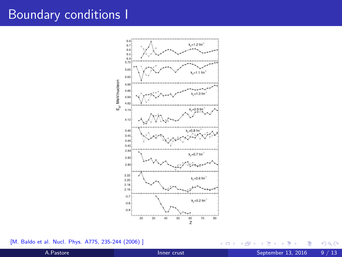# Boundary conditions I



[M. Baldo et al. Nucl. Phys. A775, 235-244 (2006)]

4 日下 ×. ×  $299$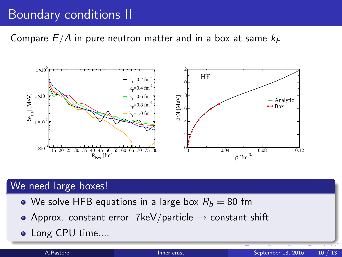# <span id="page-9-0"></span>Boundary conditions II

Compare  $E/A$  in pure neutron matter and in a box at same  $k_F$ 



### We need large boxes!

- We solve HFB equations in a large box  $R_b = 80$  fm
- Approx. constant error 7keV/particle  $\rightarrow$  constant shift
- Long CPU time....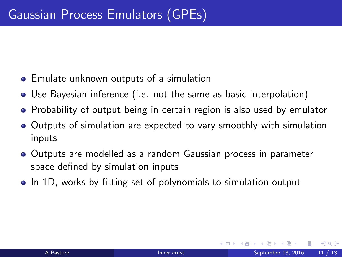- <span id="page-10-0"></span>Emulate unknown outputs of a simulation
- Use Bayesian inference (i.e. not the same as basic interpolation)
- Probability of output being in certain region is also used by emulator
- Outputs of simulation are expected to vary smoothly with simulation inputs
- Outputs are modelled as a random Gaussian process in parameter space defined by simulation inputs
- In 1D, works by fitting set of polynomials to simulation output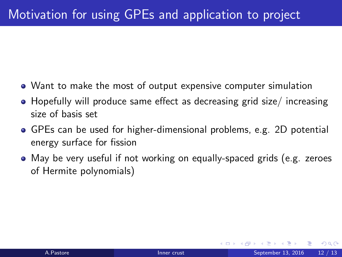- Want to make the most of output expensive computer simulation
- Hopefully will produce same effect as decreasing grid size/ increasing size of basis set
- GPEs can be used for higher-dimensional problems, e.g. 2D potential energy surface for fission
- May be very useful if not working on equally-spaced grids (e.g. zeroes of Hermite polynomials)